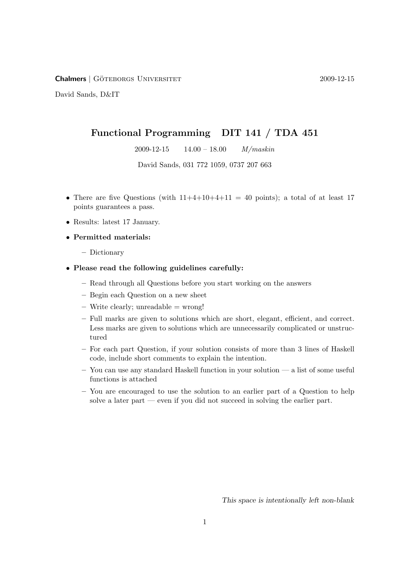Chalmers | GÖTEBORGS UNIVERSITET <sup>2009-12-15</sup>

David Sands, D&IT

# Functional Programming DIT 141 / TDA 451

2009-12-15  $14.00 - 18.00$   $M/maskin$ 

David Sands, 031 772 1059, 0737 207 663

- There are five Questions (with  $11+4+10+4+11 = 40$  points); a total of at least 17 points guarantees a pass.
- Results: latest 17 January.
- Permitted materials:
	- Dictionary
- Please read the following guidelines carefully:
	- Read through all Questions before you start working on the answers
	- Begin each Question on a new sheet
	- $-$  Write clearly; unreadable  $=$  wrong!
	- Full marks are given to solutions which are short, elegant, efficient, and correct. Less marks are given to solutions which are unnecessarily complicated or unstructured
	- For each part Question, if your solution consists of more than 3 lines of Haskell code, include short comments to explain the intention.
	- You can use any standard Haskell function in your solution a list of some useful functions is attached
	- You are encouraged to use the solution to an earlier part of a Question to help solve a later part — even if you did not succeed in solving the earlier part.

This space is intentionally left non-blank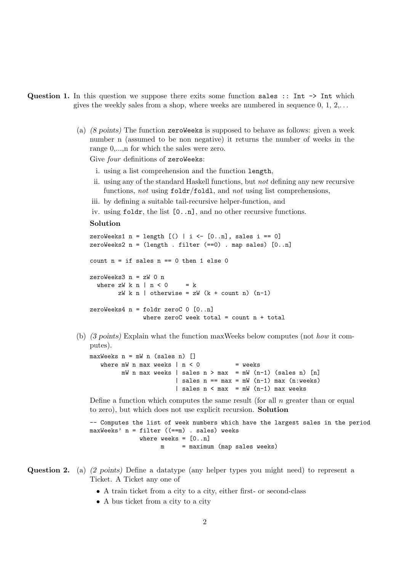- Question 1. In this question we suppose there exits some function sales :: Int  $\rightarrow$  Int which gives the weekly sales from a shop, where weeks are numbered in sequence  $0, 1, 2, \ldots$ 
	- (a) (8 points) The function zeroWeeks is supposed to behave as follows: given a week number n (assumed to be non negative) it returns the number of weeks in the range  $0, \ldots$  for which the sales were zero.

Give four definitions of zeroWeeks:

- i. using a list comprehension and the function length,
- ii. using any of the standard Haskell functions, but not defining any new recursive functions, not using  $foldr/fold1$ , and not using list comprehensions,
- iii. by defining a suitable tail-recursive helper-function, and
- iv. using foldr, the list [0..n], and no other recursive functions.

# Solution

```
zeroWeeks1 n = length [() | i \leftarrow [0..n], sales i == 0]
zeroWeeks2 n = (length . filter (==0) . map sales) [0..n]
count n = if sales n == 0 then 1 else 0
zeroWeeks3 n = zW 0 n
  where zW \nmid n < 0 = k
        zW k n | otherwise = zW (k + count n) (n-1)zeroWeeks4 n = foldr zeroC 0 [0..n]where zeroC week total = count n + total
```
(b) (3 points) Explain what the function maxWeeks below computes (not how it computes).

```
maxWeeks n = mW n (sales n) []
  where mW n max weeks | n \lt 0 = weeks
        mW n max weeks | sales n > max = mW (n-1) (sales n) [n]
                       | sales n == max = mW (n-1) max (n:weeks)| sales n < max = mW (n-1) max weeks
```
Define a function which computes the same result (for all  $n$  greater than or equal to zero), but which does not use explicit recursion. Solution

```
-- Computes the list of week numbers which have the largest sales in the period
maxWeeks' n = filter ((==m) . sales) weeks
             where weeks = [0..n]m = maximum (map sales weeks)
```
- Question 2. (a) (2 points) Define a datatype (any helper types you might need) to represent a Ticket. A Ticket any one of
	- A train ticket from a city to a city, either first- or second-class
	- A bus ticket from a city to a city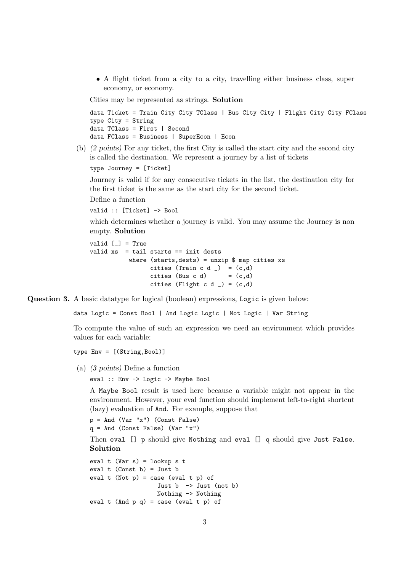• A flight ticket from a city to a city, travelling either business class, super economy, or economy.

Cities may be represented as strings. Solution

data Ticket = Train City City TClass | Bus City City | Flight City City FClass type City = String data TClass = First | Second data FClass = Business | SuperEcon | Econ

(b) (2 points) For any ticket, the first City is called the start city and the second city is called the destination. We represent a journey by a list of tickets

type Journey = [Ticket]

Journey is valid if for any consecutive tickets in the list, the destination city for the first ticket is the same as the start city for the second ticket.

Define a function

valid :: [Ticket] -> Bool

which determines whether a journey is valid. You may assume the Journey is non empty. Solution

```
valid \lceil \rceil = True
valid xs = tail starts == init dests
            where (s{\text{tarts},\text{dests}}) = {\text{unzip \$ map cities xs}}cities (Train c d _) = (c,d)cities (Bus c d) = (c,d)cities (Flight c d ) = (c,d)
```
Question 3. A basic datatype for logical (boolean) expressions, Logic is given below:

data Logic = Const Bool | And Logic Logic | Not Logic | Var String

To compute the value of such an expression we need an environment which provides values for each variable:

type Env = [(String,Bool)]

(a) (3 points) Define a function

eval :: Env -> Logic -> Maybe Bool

A Maybe Bool result is used here because a variable might not appear in the environment. However, your eval function should implement left-to-right shortcut (lazy) evaluation of And. For example, suppose that

```
p = And (Var "x") (Const False)
```
 $q = And$  (Const False) (Var "x")

Then eval [] p should give Nothing and eval [] q should give Just False. Solution

```
eval t (Var s) = lookup s t
eval t (Const b) = Just b
eval t (Not p) = case (eval t p) of
                    Just b \rightarrow Just (not b)
                   Nothing -> Nothing
eval t (And p q) = case (eval t p) of
```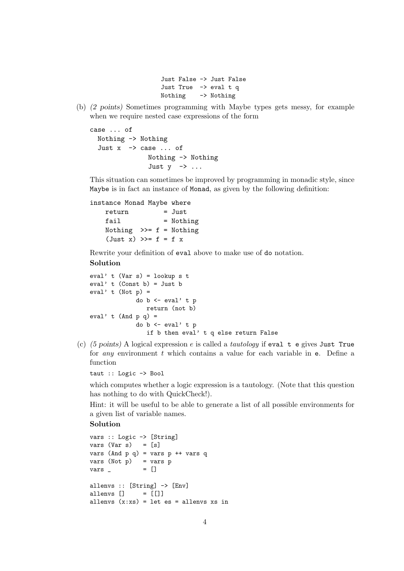```
Just False -> Just False
Just True -> eval t q
Nothing -> Nothing
```
(b) (2 points) Sometimes programming with Maybe types gets messy, for example when we require nested case expressions of the form

```
case ... of
  Nothing -> Nothing
  Just x \rightarrow case ... of
                  Nothing -> Nothing
                   Just y \rightarrow \ldots
```
This situation can sometimes be improved by programming in monadic style, since Maybe is in fact an instance of Monad, as given by the following definition:

```
instance Monad Maybe where
   return = Just
   fail = Nothing
   Nothing \gg=f = Nothing
   (\text{Just } x) \gg = f = f x
```
Rewrite your definition of eval above to make use of do notation.

# Solution

```
eval' t (Var s) = lookup s teval' t (Const b) = Just b
eval' t (Not p) =
             do b <- eval' t p
                return (not b)
eval' t (And p q) =
             do b \leq - eval' t p
                if b then eval' t q else return False
```
(c) (5 points) A logical expression e is called a tautology if eval  $t$  e gives Just True for any environment t which contains a value for each variable in e. Define a function

taut :: Logic -> Bool

which computes whether a logic expression is a tautology. (Note that this question has nothing to do with QuickCheck!).

Hint: it will be useful to be able to generate a list of all possible environments for a given list of variable names.

## Solution

```
vars :: Logic -> [String]
vars (Var s) = [s]vars (And p q) = vars p ++ vars q
vars (Not p) = vars pvars = []allenvs :: [String] -> [Env]
allenvs [] = []allenvs (x:xs) = let es = allenvs xs in
```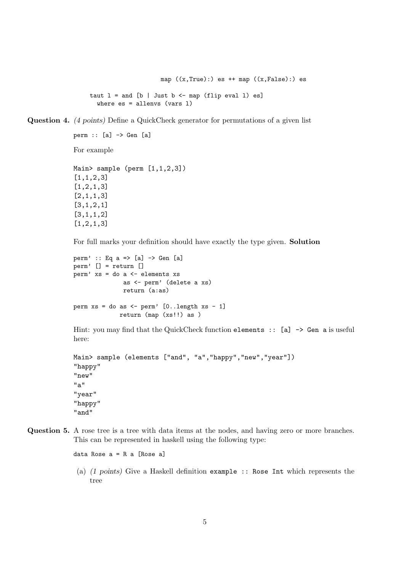map  $((x, True):)$  es  $++$  map  $((x, False):)$  es taut  $l =$  and  $[b |$  Just  $b$  <- map (flip eval 1) es] where  $es = allenvs$  (vars  $l$ )

Question 4. (4 points) Define a QuickCheck generator for permutations of a given list

```
perm :: [a] -> Gen [a]
For example
Main> sample (perm [1,1,2,3])
[1,1,2,3]
[1,2,1,3]
[2,1,1,3]
[3,1,2,1]
[3,1,1,2]
```
[1,2,1,3]

For full marks your definition should have exactly the type given. Solution

```
perm' :: Eq a => [a] -> Gen [a]
perm' [] = return []
perm' xs = do a <- elements xs
              as <- perm' (delete a xs)
              return (a:as)
perm xs = do as \leftarrow perm' [0..length xs - 1]return (map (xs!!) as )
```
Hint: you may find that the QuickCheck function elements :: [a]  $\rightarrow$  Gen a is useful here:

```
Main> sample (elements ["and", "a", "happy", "new", "year"])
"happy"
"new"
"a"
"year"
"happy"
"and"
```
Question 5. A rose tree is a tree with data items at the nodes, and having zero or more branches. This can be represented in haskell using the following type:

data Rose a = R a [Rose a]

(a) (1 points) Give a Haskell definition example :: Rose Int which represents the tree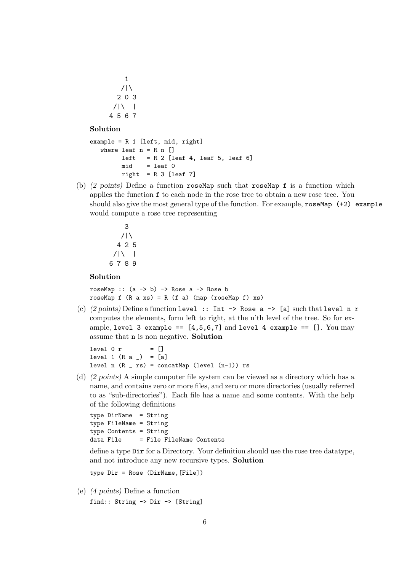### Solution

```
example = R 1 [left, mid, right]
  where leaf n = R n []
        left = R 2 [leaf 4, leaf 5, leaf 6]
        mid = leaf 0right = R 3 [leaf 7]
```
(b) (2 points) Define a function roseMap such that roseMap f is a function which applies the function f to each node in the rose tree to obtain a new rose tree. You should also give the most general type of the function. For example,  $r$ oseMap (+2) example would compute a rose tree representing

$$
\begin{array}{c}\n 3 \\
 \hline\n 425 \\
 \hline\n 789\n \end{array}
$$

### Solution

roseMap ::  $(a \rightarrow b) \rightarrow$  Rose a  $\rightarrow$  Rose b roseMap  $f$  (R a xs) = R (f a) (map (roseMap  $f$ ) xs)

(c)  $(2 \text{ points})$  Define a function level :: Int -> Rose a -> [a] such that level n r computes the elements, form left to right, at the n'th level of the tree. So for example, level 3 example ==  $[4,5,6,7]$  and level 4 example ==  $[]$ . You may assume that n is non negative. Solution

 $level 0 r = []$ level 1  $(R a_') = [a]$ level n  $(R - rs) = constant$ Ap (level  $(n-1)$ ) rs

(d) (2 points) A simple computer file system can be viewed as a directory which has a name, and contains zero or more files, and zero or more directories (usually referred to as "sub-directories"). Each file has a name and some contents. With the help of the following definitions

```
type DirName = String
type FileName = String
type Contents = String
data File = File FileName Contents
```
define a type Dir for a Directory. Your definition should use the rose tree datatype, and not introduce any new recursive types. Solution

type Dir = Rose (DirName,[File])

(e) (4 points) Define a function

```
find:: String -> Dir -> [String]
```